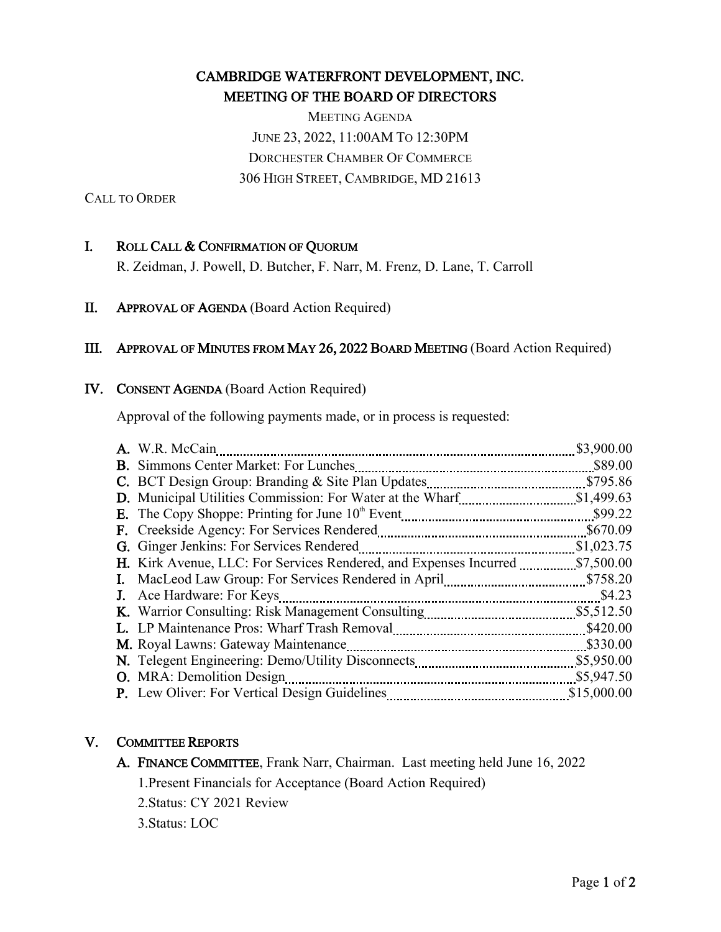# CAMBRIDGE WATERFRONT DEVELOPMENT, INC. MEETING OF THE BOARD OF DIRECTORS

MEETING AGENDA JUNE 23, 2022, 11:00AM TO 12:30PM DORCHESTER CHAMBER OF COMMERCE 306 HIGH STREET, CAMBRIDGE, MD 21613

CALL TO ORDER

# I. ROLL CALL & CONFIRMATION OF QUORUM

R. Zeidman, J. Powell, D. Butcher, F. Narr, M. Frenz, D. Lane, T. Carroll

# II. APPROVAL OF AGENDA (Board Action Required)

#### III. APPROVAL OF MINUTES FROM MAY 26, 2022 BOARD MEETING (Board Action Required)

#### IV. CONSENT AGENDA (Board Action Required)

Approval of the following payments made, or in process is requested:

| A. W.R. McCain                                                    | \$3,900.00  |
|-------------------------------------------------------------------|-------------|
|                                                                   | \$89.00     |
| C. BCT Design Group: Branding & Site Plan Updates                 | \$795.86    |
| D. Municipal Utilities Commission: For Water at the Wharf         | \$1,499.63  |
|                                                                   | \$99.22     |
| F. Creekside Agency: For Services Rendered                        | \$670.09    |
| <b>G.</b> Ginger Jenkins: For Services Rendered                   | \$1,023.75  |
| H. Kirk Avenue, LLC: For Services Rendered, and Expenses Incurred | \$7,500.00  |
| I. MacLeod Law Group: For Services Rendered in April              | \$758.20    |
| J. Ace Hardware: For Keys                                         | \$4.23      |
| K. Warrior Consulting: Risk Management Consulting                 | \$5,512.50  |
|                                                                   | \$420.00    |
| M. Royal Lawns: Gateway Maintenance                               | \$330.00    |
| N. Telegent Engineering: Demo/Utility Disconnects                 | \$5,950.00  |
| <b>O.</b> MRA: Demolition Design                                  | \$5,947.50  |
|                                                                   | \$15,000.00 |

#### V. COMMITTEE REPORTS

A. FINANCE COMMITTEE, Frank Narr, Chairman. Last meeting held June 16, 2022 1.Present Financials for Acceptance (Board Action Required) 2.Status: CY 2021 Review

3.Status: LOC